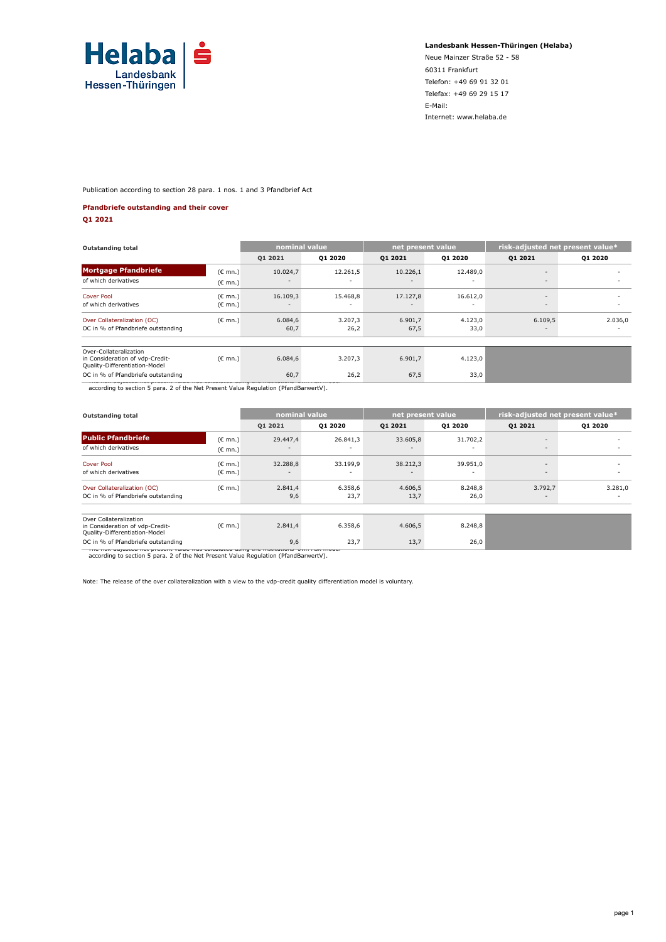

**Landesbank Hessen-Thüringen (Helaba)**

Neue Mainzer Straße 52 - 58 60311 Frankfurt Telefon: +49 69 91 32 01 Telefax: +49 69 29 15 17 E-Mail: Internet: www.helaba.de

Publication according to section 28 para. 1 nos. 1 and 3 Pfandbrief Act

#### **Pfandbriefe outstanding and their cover**

**Q1 2021**

| <b>Outstanding total</b>                                                                   |                   | nominal value            |          | net present value |                          | risk-adjusted net present value* |                          |
|--------------------------------------------------------------------------------------------|-------------------|--------------------------|----------|-------------------|--------------------------|----------------------------------|--------------------------|
|                                                                                            |                   | 01 2021                  | 01 2020  | 01 2021           | Q1 2020                  | 01 2021                          | 01 20 20                 |
| <b>Mortgage Pfandbriefe</b>                                                                | $(C \text{ mn.})$ | 10.024,7                 | 12.261,5 | 10.226,1          | 12.489,0                 | $\overline{\phantom{a}}$         |                          |
| of which derivatives                                                                       | $(C \text{ mn.})$ | $\overline{\phantom{a}}$ |          |                   |                          | $\overline{\phantom{a}}$         | $\overline{\phantom{a}}$ |
| <b>Cover Pool</b>                                                                          | $(C \text{ mn.})$ | 16.109,3                 | 15.468,8 | 17.127,8          | 16.612,0                 | $\sim$                           |                          |
| of which derivatives                                                                       | $(C \text{ mn.})$ | $\overline{\phantom{0}}$ |          | $\sim$            | $\overline{\phantom{a}}$ | $\overline{\phantom{a}}$         |                          |
| Over Collateralization (OC)                                                                | $(C \text{ mn.})$ | 6.084,6                  | 3.207,3  | 6.901,7           | 4.123,0                  | 6.109,5                          | 2.036,0                  |
| OC in % of Pfandbriefe outstanding                                                         |                   | 60,7                     | 26,2     | 67,5              | 33,0                     | $\overline{\phantom{a}}$         | $\sim$                   |
|                                                                                            |                   |                          |          |                   |                          |                                  |                          |
| Over-Collateralization<br>in Consideration of vdp-Credit-<br>Quality-Differentiation-Model | $(C \text{ mn.})$ | 6.084,6                  | 3.207,3  | 6.901,7           | 4.123,0                  |                                  |                          |
| OC in % of Pfandbriefe outstanding                                                         |                   | 60,7                     | 26,2     | 67,5              | 33,0                     |                                  |                          |
| according to section 5 para. 2 of the Net Present Value Regulation (PfandBarwertV).        |                   |                          |          |                   |                          |                                  |                          |

| <b>Outstanding total</b>                                                                   | nominal value                          |                                      |                 | net present value                    | risk-adjusted net present value* |                                     |                               |
|--------------------------------------------------------------------------------------------|----------------------------------------|--------------------------------------|-----------------|--------------------------------------|----------------------------------|-------------------------------------|-------------------------------|
|                                                                                            |                                        | 01 2021                              | Q1 2020         | Q1 2021                              | Q1 2020                          | 01 20 21                            | Q1 2020                       |
| <b>Public Pfandbriefe</b>                                                                  | $(E \text{ mn.})$                      | 29,447.4                             | 26.841,3        | 33.605,8                             | 31.702,2                         | $\overline{\phantom{a}}$            |                               |
| of which derivatives                                                                       | $(E \text{ mn.})$                      | $\overline{\phantom{a}}$             |                 | $\overline{\phantom{a}}$             |                                  | $\sim$                              |                               |
| <b>Cover Pool</b><br>of which derivatives                                                  | $(C \text{ mn.})$<br>$(C \text{ mn.})$ | 32.288,8<br>$\overline{\phantom{a}}$ | 33.199,9<br>٠   | 38.212,3<br>$\overline{\phantom{a}}$ | 39.951,0<br>٠                    | $\overline{\phantom{a}}$<br>$\sim$  | -<br>$\overline{\phantom{a}}$ |
| Over Collateralization (OC)<br>OC in % of Pfandbriefe outstanding                          | $(C \text{ mn.})$                      | 2.841,4<br>9,6                       | 6.358,6<br>23,7 | 4.606,5<br>13,7                      | 8.248,8<br>26,0                  | 3.792,7<br>$\overline{\phantom{a}}$ | 3.281,0<br>$\sim$             |
| Over Collateralization<br>in Consideration of vdp-Credit-<br>Quality-Differentiation-Model | $(E \text{ mn.})$                      | 2.841,4                              | 6.358,6         | 4.606,5                              | 8.248,8                          |                                     |                               |
| OC in % of Pfandbriefe outstanding<br>THE HON USINGS OF HER DISOUTE TUNG.                  |                                        | 9,6                                  | 23,7            | 13,7                                 | 26,0                             |                                     |                               |

\* The risk-adjusted net present value was calculated using the institutions' own risk model according to section 5 para. 2 of the Net Present Value Regulation (PfandBarwertV).

Note: The release of the over collateralization with a view to the vdp-credit quality differentiation model is voluntary.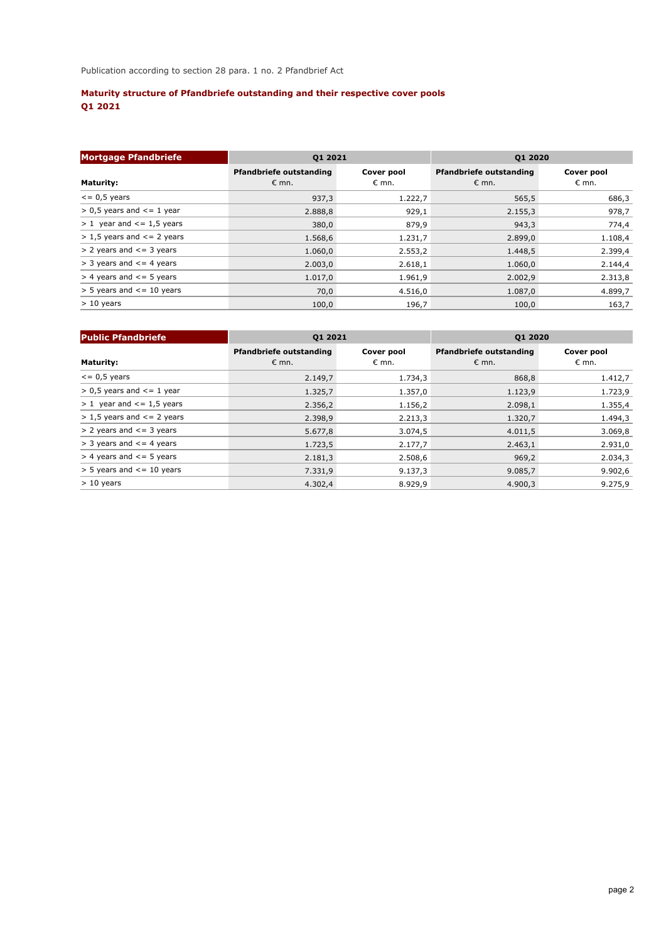# **Maturity structure of Pfandbriefe outstanding and their respective cover pools Q1 2021**

| <b>Mortgage Pfandbriefe</b>        | Q1 2021                                          |                     | <b>Q1 2020</b>                                   |                              |  |  |
|------------------------------------|--------------------------------------------------|---------------------|--------------------------------------------------|------------------------------|--|--|
| <b>Maturity:</b>                   | <b>Pfandbriefe outstanding</b><br>$\epsilon$ mn. | Cover pool<br>€ mn. | <b>Pfandbriefe outstanding</b><br>$\epsilon$ mn. | Cover pool<br>$\epsilon$ mn. |  |  |
| $\epsilon$ = 0,5 years             | 937,3                                            | 1.222,7             | 565,5                                            | 686,3                        |  |  |
| $> 0.5$ years and $\leq 1$ year    | 2.888,8                                          | 929,1               | 2.155,3                                          | 978,7                        |  |  |
| $> 1$ year and $\le$ = 1,5 years   | 380,0                                            | 879,9               | 943,3                                            | 774,4                        |  |  |
| $> 1.5$ years and $\leq$ = 2 years | 1.568,6                                          | 1.231,7             | 2.899,0                                          | 1.108,4                      |  |  |
| $> 2$ years and $\leq$ = 3 years   | 1.060,0                                          | 2.553,2             | 1.448,5                                          | 2.399,4                      |  |  |
| $>$ 3 years and $\leq$ 4 years     | 2.003,0                                          | 2.618,1             | 1.060,0                                          | 2.144,4                      |  |  |
| $>$ 4 years and $\le$ = 5 years    | 1.017,0                                          | 1.961,9             | 2.002,9                                          | 2.313,8                      |  |  |
| $>$ 5 years and $\le$ = 10 years   | 70,0                                             | 4.516,0             | 1.087,0                                          | 4.899,7                      |  |  |
| $> 10$ years                       | 100,0                                            | 196,7               | 100,0                                            | 163,7                        |  |  |

| <b>Public Pfandbriefe</b>        | Q1 2021                                          |                              | <b>Q1 2020</b>                                   |                              |  |  |
|----------------------------------|--------------------------------------------------|------------------------------|--------------------------------------------------|------------------------------|--|--|
| <b>Maturity:</b>                 | <b>Pfandbriefe outstanding</b><br>$\epsilon$ mn. | Cover pool<br>$\epsilon$ mn. | <b>Pfandbriefe outstanding</b><br>$\epsilon$ mn. | Cover pool<br>$\epsilon$ mn. |  |  |
| $\epsilon$ = 0,5 years           | 2.149,7                                          | 1.734,3                      | 868,8                                            | 1.412,7                      |  |  |
| $> 0.5$ years and $\leq 1$ year  | 1.325,7                                          | 1.357,0                      | 1.123,9                                          | 1.723,9                      |  |  |
| $> 1$ year and $\le$ = 1,5 years | 2.356,2                                          | 1.156,2                      | 2.098,1                                          | 1.355,4                      |  |  |
| $> 1.5$ years and $\leq$ 2 years | 2.398,9                                          | 2.213,3                      | 1.320,7                                          | 1.494,3                      |  |  |
| $> 2$ years and $\le$ = 3 years  | 5.677,8                                          | 3.074,5                      | 4.011,5                                          | 3.069,8                      |  |  |
| $>$ 3 years and $\leq$ 4 years   | 1.723,5                                          | 2.177,7                      | 2.463,1                                          | 2.931,0                      |  |  |
| $>$ 4 years and $\le$ = 5 years  | 2.181,3                                          | 2.508,6                      | 969,2                                            | 2.034,3                      |  |  |
| $>$ 5 years and $\le$ = 10 years | 7.331,9                                          | 9.137,3                      | 9.085,7                                          | 9.902,6                      |  |  |
| $> 10$ years                     | 4.302,4                                          | 8.929,9                      | 4.900.3                                          | 9.275.9                      |  |  |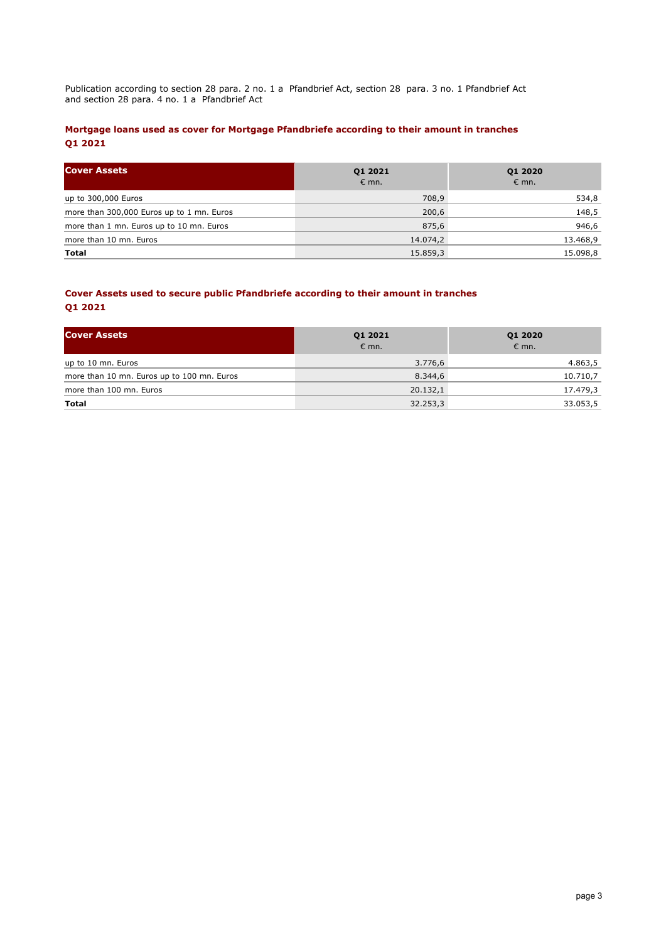Publication according to section 28 para. 2 no. 1 a Pfandbrief Act, section 28 para. 3 no. 1 Pfandbrief Act and section 28 para. 4 no. 1 a Pfandbrief Act

## **Mortgage loans used as cover for Mortgage Pfandbriefe according to their amount in tranches Q1 2021**

| <b>Cover Assets</b>                       | Q1 2021<br>$\epsilon$ mn. | Q1 2020<br>$\epsilon$ mn. |
|-------------------------------------------|---------------------------|---------------------------|
| up to 300,000 Euros                       | 708,9                     | 534,8                     |
| more than 300,000 Euros up to 1 mn. Euros | 200,6                     | 148,5                     |
| more than 1 mn. Euros up to 10 mn. Euros  | 875,6                     | 946,6                     |
| more than 10 mn. Euros                    | 14.074,2                  | 13.468,9                  |
| Total                                     | 15.859,3                  | 15.098,8                  |

## **Cover Assets used to secure public Pfandbriefe according to their amount in tranches Q1 2021**

| <b>Cover Assets</b>                        | Q1 2021<br>$\epsilon$ mn. | Q1 2020<br>$\epsilon$ mn. |
|--------------------------------------------|---------------------------|---------------------------|
| up to 10 mn. Euros                         | 3.776,6                   | 4.863,5                   |
| more than 10 mn. Euros up to 100 mn. Euros | 8.344,6                   | 10.710,7                  |
| more than 100 mn. Euros                    | 20.132,1                  | 17.479,3                  |
| Total                                      | 32.253,3                  | 33.053,5                  |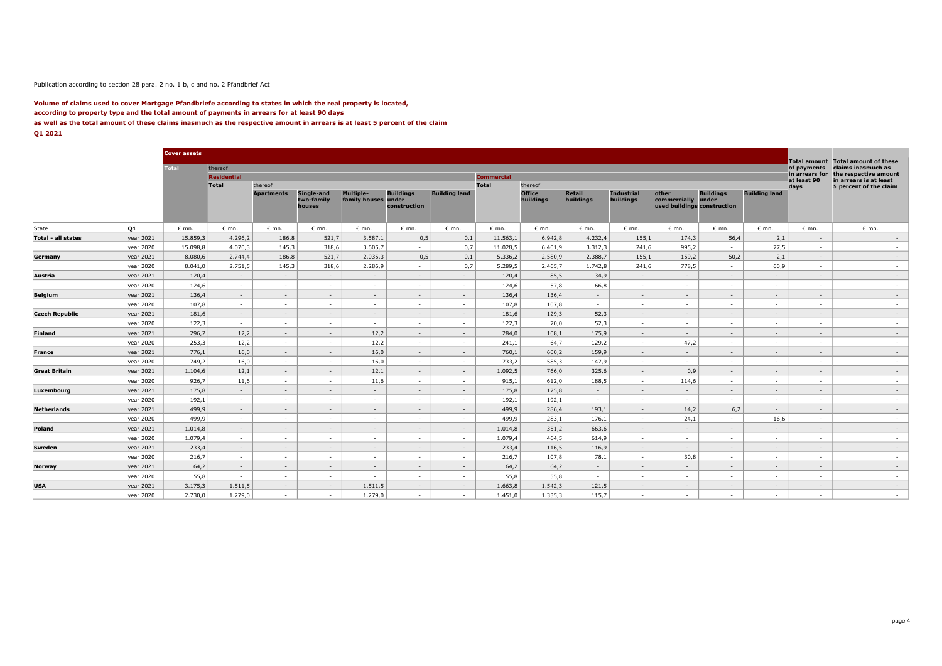#### Publication according to section 28 para. 2 no. 1 b, c and no. 2 Pfandbrief Act

#### **Volume of claims used to cover Mortgage Pfandbriefe according to states in which the real property is located, according to property type and the total amount of payments in arrears for at least 90 days as well as the total amount of these claims inasmuch as the respective amount in arrears is at least 5 percent of the claim Q1 2021**

|  | ۰.<br>× |  |  |
|--|---------|--|--|
|  |         |  |  |
|  |         |  |  |

|                       |           | <b>Cover assets</b> |                    |                   |                                    |                                         |                                  |                      |                   |                            |                            |                                |                                                            |                  |                      |                                    |                                                    |
|-----------------------|-----------|---------------------|--------------------|-------------------|------------------------------------|-----------------------------------------|----------------------------------|----------------------|-------------------|----------------------------|----------------------------|--------------------------------|------------------------------------------------------------|------------------|----------------------|------------------------------------|----------------------------------------------------|
|                       |           | <b>Total</b>        | thereof            |                   |                                    |                                         |                                  |                      |                   |                            |                            |                                |                                                            |                  |                      | <b>Total amount</b><br>of payments | <b>Total amount of these</b><br>claims inasmuch as |
|                       |           |                     | <b>Residential</b> |                   |                                    |                                         |                                  |                      | <b>Commercial</b> |                            |                            |                                |                                                            |                  |                      | in arrears for                     | the respective amount                              |
|                       |           |                     | Total              | thereof           |                                    |                                         |                                  |                      | <b>Total</b>      | thereof                    |                            |                                |                                                            |                  |                      | at least 90<br>days                | in arrears is at least<br>5 percent of the claim   |
|                       |           |                     |                    | <b>Apartments</b> | Single-and<br>two-family<br>houses | <b>Multiple-</b><br>family houses under | <b>Buildings</b><br>construction | <b>Building land</b> |                   | <b>Office</b><br>buildings | <b>Retail</b><br>buildings | <b>Industrial</b><br>buildings | other<br>commercially under<br>used buildings construction | <b>Buildings</b> | <b>Building land</b> |                                    |                                                    |
| State                 | Q1        | $\epsilon$ mn.      | $\epsilon$ mn.     | $\epsilon$ mn.    | $\epsilon$ mn.                     | $\epsilon$ mn.                          | $\epsilon$ mn.                   | € mn.                | $\epsilon$ mn.    | $\epsilon$ mn.             | $\epsilon$ mn.             | $\epsilon$ mn.                 | $\epsilon$ mn.                                             | $\epsilon$ mn.   | $\epsilon$ mn.       | $\epsilon$ mn.                     | $\epsilon$ mn.                                     |
| Total - all states    | year 2021 | 15.859,3            | 4.296,2            | 186,8             | 521,7                              | 3.587,1                                 | 0,5                              | 0,1                  | 11.563,1          | 6.942,8                    | 4.232,4                    | 155,1                          | 174,3                                                      | 56,4             | 2,1                  | $\sim$                             | $\sim$                                             |
|                       | year 2020 | 15.098,8            | 4.070.3            | 145,3             | 318,6                              | 3.605,7                                 | $\sim$                           | 0,7                  | 11.028,5          | 6.401,9                    | 3.312,3                    | 241,6                          | 995,2                                                      | $\sim$           | 77,5                 | $\overline{\phantom{a}}$           | $\sim$                                             |
| Germany               | year 2021 | 8.080,6             | 2.744,4            | 186,8             | 521,7                              | 2.035,3                                 | 0,5                              | 0,1                  | 5.336,2           | 2.580,9                    | 2.388,7                    | 155,1                          | 159,2                                                      | 50,2             | 2,1                  | $\sim$                             | $\sim$                                             |
|                       | year 2020 | 8.041,0             | 2.751,5            | 145,3             | 318,6                              | 2.286,9                                 | $\sim$                           | 0,7                  | 5.289,5           | 2.465,7                    | 1.742,8                    | 241,6                          | 778,5                                                      | $\sim$           | 60,9                 | $\sim$                             | $\sim$                                             |
| Austria               | year 2021 | 120,4               | $\sim$             | $\sim$            | $\sim$                             | $\sim$                                  | $\sim$                           | $\sim$               | 120,4             | 85,5                       | 34,9                       | $\sim$                         | $\sim$                                                     | $\sim$           | $\sim$               | $\sim$                             | $\sim$                                             |
|                       | year 2020 | 124.6               | $\sim$             | $\sim$            | $\sim$                             | . н.                                    | $\sim$                           | . п.                 | 124.6             | 57.8                       | 66.8                       | $\sim$                         | <b>COL</b>                                                 | $\sim$           | <b>COL</b>           |                                    | $\sim$                                             |
| <b>Belgium</b>        | year 2021 | 136,4               | $\sim$             | $\sim$            | $\sim$                             | $\sim$                                  | $\sim$                           | $\sim$               | 136,4             | 136,4                      | $\sim$                     | $\sim$                         | $\sim$                                                     | $\sim$           | $\sim$               | $\sim$                             | $\sim$                                             |
|                       | year 2020 | 107.8               | $\sim$             | $\sim$            | $\sim$                             | $\sim$                                  | $\sim$                           | $\sim$               | 107.8             | 107.8                      | $\sim$                     | $\sim$                         | $\sim$                                                     | $\sim$           | $\sim$               |                                    | $\sim$                                             |
| <b>Czech Republic</b> | year 2021 | 181,6               | $\sim$             | $\sim$            | $\sim$                             | $\sim$                                  | $\sim$                           | $\sim$               | 181,6             | 129,3                      | 52,3                       | $\sim$                         | $\sim$                                                     | $\sim$           | $\sim$               | $\sim$                             | $\sim$                                             |
|                       | year 2020 | 122,3               | $\sim$             | $\sim$            | $\sim$                             | $\sim$                                  | . п.                             | $\sim$               | 122,3             | 70,0                       | 52,3                       | $\sim$                         | $\sim$                                                     | $\sim$           | <b>COL</b>           | $\sim$                             | $\sim$                                             |
| Finland               | year 2021 | 296,2               | 12,2               | $\sim$            | $\sim$                             | 12,2                                    | $\sim$                           | $\sim$               | 284,0             | 108,1                      | 175,9                      | $\sim$                         | $\sim$                                                     | $\sim$           | $\sim$               |                                    | $\sim$                                             |
|                       | year 2020 | 253,3               | 12,2               | $\sim$            | $\sim$                             | 12,2                                    | $\sim$                           | $\sim$               | 241,1             | 64,7                       | 129,2                      | $\sim$                         | 47,2                                                       | $\sim$           | $\sim$               | $\sim$                             | $\sim$                                             |
| France                | year 2021 | 776,1               | 16,0               | $\sim$            | $\sim$                             | 16,0                                    | $\sim$                           | $\sim$               | 760,1             | 600,2                      | 159,9                      | $\sim$                         | $\sim$                                                     | $\sim$           | $\sim$               |                                    | $\sim$                                             |
|                       | year 2020 | 749,2               | 16,0               | $\sim$            | $\sim$                             | 16,0                                    | $\sim$                           | $\sim$               | 733,2             | 585,3                      | 147,9                      | $\sim$                         | $\sim$                                                     | $\sim$           | $\sim$               | $\sim$                             | $\sim$                                             |
| <b>Great Britain</b>  | year 2021 | 1.104,6             | 12,1               | $\sim$            | $\sim$                             | 12,1                                    | $\sim$                           | $\sim$               | 1.092,5           | 766,0                      | 325,6                      | $\sim$                         | 0,9                                                        | $\sim$           | $\sim$               | $\sim$                             | $\sim$                                             |
|                       | year 2020 | 926,7               | 11,6               | $\sim$            | $\sim$                             | 11,6                                    | $\sim$                           | $\sim$               | 915,1             | 612,0                      | 188,5                      | $\sim$                         | 114,6                                                      | $\sim$           | $\sim$               | $\sim$                             | $\sim$                                             |
| Luxembourg            | year 2021 | 175,8               | $\sim$             | $\sim$            | $\sim$                             | $\sim$                                  | $\sim$                           | $\sim$               | 175,8             | 175,8                      | $\sim$                     | $\sim$                         | $\sim$                                                     | $\sim$           | $\sim$               | $\sim$                             | $\sim$                                             |
|                       | year 2020 | 192,1               | $\sim$             | $\sim$            | $\sim$                             | . п.                                    | . п.                             | $\sim$               | 192,1             | 192,1                      | $\sim$                     | $\sim$                         | $\sim$                                                     | $\sim$           | $\sim$               | $\sim$                             | $\sim$                                             |
| <b>Netherlands</b>    | year 2021 | 499.9               | $\sim$             | $\sim$            | $\sim$                             | $\sim$                                  | $\sim$                           | $\sim$               | 499,9             | 286,4                      | 193,1                      | $\sim$                         | 14,2                                                       | 6,2              | $\sim$               | $\sim$                             | $\sim$                                             |
|                       | year 2020 | 499,9               | $\sim$             | $\sim$            | $\sim$                             | . п.                                    | . —                              | $\sim$               | 499,9             | 283,1                      | 176,1                      | $\sim$                         | 24,1                                                       | $\sim$           | 16,6                 | $\sim$                             | $\sim$                                             |
| Poland                | year 2021 | 1.014,8             | $\sim$             | $\sim$            | $\sim$                             | $\sim$                                  | $\sim$                           | $\sim$               | 1.014,8           | 351,2                      | 663,6                      | $\sim$                         | $\sim$                                                     | $\sim$           | $\sim$               | $\sim$                             | $\sim$                                             |
|                       | year 2020 | 1.079,4             | $\sim$             | $\sim$            | $\sim$                             | $\sim$                                  | $\sim$                           | $\sim$               | 1.079,4           | 464,5                      | 614,9                      | $\sim$                         | $\sim$                                                     | $\sim$           | $\sim$               | $\sim$                             | $\sim$                                             |
| Sweden                | year 2021 | 233,4               | $\sim$             | $\sim$            | $\sim$                             | $\sim$                                  | $\sim$                           | $\sim$               | 233,4             | 116,5                      | 116,9                      | $\sim$                         | $\sim$                                                     | $\sim$           | $\sim$               | $\sim$                             | $\sim$                                             |
|                       | year 2020 | 216,7               | $\sim$             | $\sim$            | $\sim$                             | $\sim$                                  | $\sim$                           | $\sim$               | 216,7             | 107,8                      | 78,1                       | $\sim$                         | 30,8                                                       | $\sim$           | $\sim$               |                                    | $\sim$                                             |
| Norway                | year 2021 | 64,2                | $\sim$             | $\sim$            | $\sim$                             | $\sim$                                  | $\sim$                           | $\sim$               | 64,2              | 64,2                       | $\sim$                     | $\sim$                         | $\sim$                                                     | $\sim$           | $\sim$               | $\sim$                             | $\sim$                                             |
|                       | year 2020 | 55,8                | $\sim$             | $\sim$            | $\sim$                             | $\sim$                                  | $\sim$                           | $\sim$               | 55,8              | 55,8                       | $\sim$                     | $\sim$                         | $\sim$                                                     | $\sim$           | $\sim$               | $\sim$                             | $\sim$                                             |
| USA                   | year 2021 | 3.175,3             | 1.511,5            | $\sim$            | $\sim$                             | 1.511,5                                 | $\sim$                           | $\sim$               | 1.663,8           | 1.542,3                    | 121,5                      | $\sim$                         | $\sim$                                                     | $\sim$           | $\sim$               | $\sim$                             | $\sim$                                             |
|                       | year 2020 | 2.730,0             | 1.279,0            | $\sim$            | $\sim$                             | 1.279,0                                 | $\sim$                           | $\sim$               | 1.451,0           | 1.335,3                    | 115,7                      | $\sim$                         | <b>COL</b>                                                 | $\sim$           | $\sim$               | $\sim$                             | $\sim$                                             |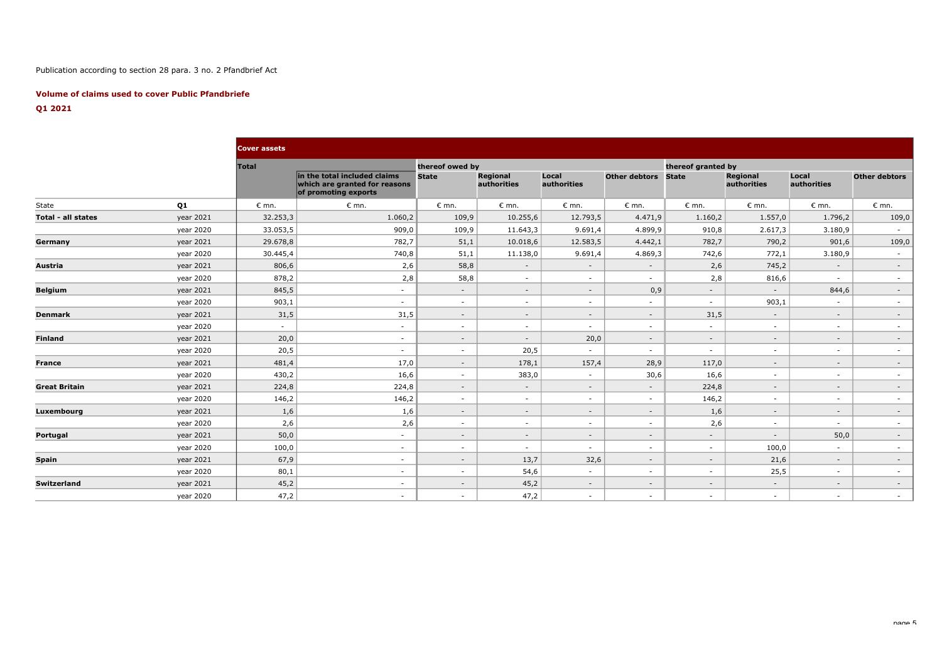## Publication according to section 28 para. 3 no. 2 Pfandbrief Act

### **Volume of claims used to cover Public Pfandbriefe**

## **Q1 2021**

|                      |           | <b>Cover assets</b> |                                                                                       |                 |                                |                      |                      |                    |                                |                      |                      |
|----------------------|-----------|---------------------|---------------------------------------------------------------------------------------|-----------------|--------------------------------|----------------------|----------------------|--------------------|--------------------------------|----------------------|----------------------|
|                      |           | <b>Total</b>        |                                                                                       | thereof owed by |                                |                      |                      | thereof granted by |                                |                      |                      |
|                      |           |                     | in the total included claims<br>which are granted for reasons<br>of promoting exports | <b>State</b>    | <b>Regional</b><br>authorities | Local<br>authorities | <b>Other debtors</b> | <b>State</b>       | <b>Regional</b><br>authorities | Local<br>authorities | <b>Other debtors</b> |
| State                | Q1        | $\epsilon$ mn.      | $\epsilon$ mn.                                                                        | $\epsilon$ mn.  | $\epsilon$ mn.                 | $\epsilon$ mn.       | $\epsilon$ mn.       | $\epsilon$ mn.     | $\epsilon$ mn.                 | $\epsilon$ mn.       | $\epsilon$ mn.       |
| Total - all states   | year 2021 | 32.253,3            | 1.060,2                                                                               | 109,9           | 10.255,6                       | 12.793,5             | 4.471,9              | 1.160,2            | 1.557,0                        | 1.796,2              | 109,0                |
|                      | year 2020 | 33.053,5            | 909,0                                                                                 | 109,9           | 11.643,3                       | 9.691,4              | 4.899,9              | 910,8              | 2.617,3                        | 3.180,9              | $\sim$               |
| Germany              | year 2021 | 29.678,8            | 782,7                                                                                 | 51,1            | 10.018,6                       | 12.583,5             | 4.442,1              | 782,7              | 790,2                          | 901,6                | 109,0                |
|                      | year 2020 | 30.445,4            | 740,8                                                                                 | 51,1            | 11.138,0                       | 9.691,4              | 4.869,3              | 742,6              | 772,1                          | 3.180,9              | $\sim$               |
| Austria              | year 2021 | 806,6               | 2,6                                                                                   | 58,8            | $\sim$                         | $\sim$               | $\sim$               | 2,6                | 745,2                          | $\sim$               | $\sim$               |
|                      | year 2020 | 878,2               | 2,8                                                                                   | 58,8            | $\sim$                         | $\sim$               | $\sim$               | 2,8                | 816,6                          | $\sim$               | $\sim$               |
| <b>Belgium</b>       | year 2021 | 845,5               | $\sim$                                                                                | $\sim$          | $\sim$                         | $\sim$               | 0,9                  | $\sim$             | $\sim$                         | 844,6                | $\sim$               |
|                      | year 2020 | 903,1               | $\sim$                                                                                | $\sim$          | $\sim$                         | $\sim$               | $\sim$               | $\sim$             | 903,1                          | $\sim$               | $\sim$               |
| <b>Denmark</b>       | year 2021 | 31,5                | 31,5                                                                                  | $\sim$          | $\sim$                         | $\sim$               | $\sim$               | 31,5               | $\sim$                         | $\sim$               | $\sim$               |
|                      | year 2020 | $\sim$              | $\sim$                                                                                | $\sim$          | $\sim$                         | $\sim$               | $\sim$               | $\sim$             | $\sim$                         | $\sim$               | $\sim$               |
| <b>Finland</b>       | year 2021 | 20,0                | $\sim$                                                                                | $\sim$          | $\sim$                         | 20,0                 | $\sim$               | $-$                | $\sim$                         | $\sim$               | $\sim$               |
|                      | year 2020 | 20,5                | $\sim$                                                                                | $\sim$          | 20,5                           | $\sim$               | $\sim$               | $\sim$             | $\sim$                         | $\sim$               | $\sim$               |
| <b>France</b>        | year 2021 | 481,4               | 17,0                                                                                  | $\sim$          | 178,1                          | 157,4                | 28,9                 | 117,0              | $\sim$                         | $\sim$               | $\sim$               |
|                      | year 2020 | 430,2               | 16,6                                                                                  | $\sim$          | 383,0                          | $\sim$               | 30,6                 | 16,6               | $\sim$                         | $\sim$               | $\sim$               |
| <b>Great Britain</b> | year 2021 | 224,8               | 224,8                                                                                 | $\sim$          | $\sim$                         | $\sim$               | $\sim$               | 224,8              | $\sim$                         | $\sim$               | $\sim$               |
|                      | year 2020 | 146,2               | 146,2                                                                                 | $\sim$          | $\sim$                         | $\sim$               | $\sim$               | 146,2              | $\sim$                         | $\sim$               | $\sim$               |
| Luxembourg           | year 2021 | 1,6                 | 1,6                                                                                   | $\sim$          | $\sim$                         | $\sim$               | $\sim$               | 1,6                | $\sim$                         | $\sim$               | $\sim$               |
|                      | year 2020 | 2,6                 | 2,6                                                                                   | $\sim$          | $\sim$                         | $\sim$               | $\sim$               | 2,6                | $\sim$                         | $\sim$               | $\sim$               |
| Portugal             | year 2021 | 50,0                | $\sim$                                                                                | $\sim$          | $\sim$                         | $\sim$               | $\sim$               | $\sim$             | $\sim$                         | 50,0                 | $\sim$               |
|                      | year 2020 | 100,0               | $\sim$                                                                                | $\sim$          | $\sim$                         | $\sim$               | $\sim$               | $\sim$             | 100,0                          | $\sim$               | $\sim$               |
| <b>Spain</b>         | year 2021 | 67,9                | $\sim$                                                                                | $\sim$          | 13,7                           | 32,6                 | $\sim$               | $\sim$             | 21,6                           | $\sim$               | $\sim$               |
|                      | year 2020 | 80,1                | $\sim$                                                                                | $\sim$          | 54,6                           | $\sim$               | $\sim$               | $\sim$             | 25,5                           | $\sim$               | $\sim$               |
| Switzerland          | year 2021 | 45,2                | $\sim$                                                                                | $\sim$          | 45,2                           | $\sim$               | $\sim$               | $-$                | $\sim$                         | $\sim$               | $\sim$               |
|                      | year 2020 | 47,2                | $\sim$                                                                                | $\sim$          | 47,2                           | $\sim$               | $\sim$               | $\sim$             | $\sim$                         | $\sim$               | $\sim$               |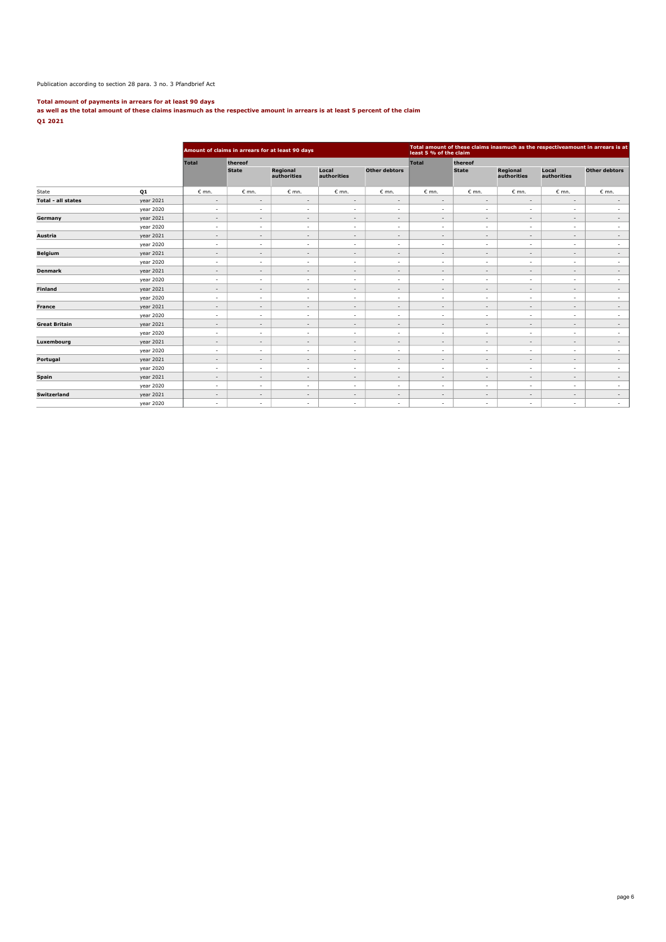#### Publication according to section 28 para. 3 no. 3 Pfandbrief Act

**Total amount of payments in arrears for at least 90 days as well as the total amount of these claims inasmuch as the respective amount in arrears is at least 5 percent of the claim Q1 2021**

|                           |           |                          |                                         | Amount of claims in arrears for at least 90 days |                          |                          | Total amount of these claims inasmuch as the respectiveamount in arrears is at<br>least 5 % of the claim |                          |                                |                          |                   |  |
|---------------------------|-----------|--------------------------|-----------------------------------------|--------------------------------------------------|--------------------------|--------------------------|----------------------------------------------------------------------------------------------------------|--------------------------|--------------------------------|--------------------------|-------------------|--|
|                           |           | <b>Total</b>             | thereof                                 |                                                  |                          |                          | Total                                                                                                    | thereof                  |                                |                          |                   |  |
|                           |           |                          | Regional<br><b>State</b><br>authorities |                                                  | Local<br>authorities     | <b>Other debtors</b>     |                                                                                                          | <b>State</b>             | <b>Regional</b><br>authorities | Local<br>authorities     | Other debtors     |  |
| Q1<br>State               |           | $\epsilon$ mn.           | $\epsilon$ mn.                          | $\epsilon$ mn.                                   | $\varepsilon$ mn.        | $\varepsilon$ mn.        | $\epsilon$ mn.                                                                                           | $\epsilon$ mn.           | $\epsilon$ mn.                 | $\varepsilon$ mn.        | $\varepsilon$ mn. |  |
| <b>Total - all states</b> | year 2021 | $\overline{\phantom{a}}$ | $\overline{\phantom{a}}$                | $\overline{\phantom{a}}$                         | $\overline{\phantom{a}}$ | $\overline{\phantom{a}}$ | $\overline{\phantom{a}}$                                                                                 | $\overline{\phantom{a}}$ | $\sim$                         | $\overline{\phantom{a}}$ | $\sim$            |  |
|                           | year 2020 | $\sim$                   | $\overline{\phantom{a}}$                | $\sim$                                           | $\sim$                   | $\overline{\phantom{a}}$ | $\sim$                                                                                                   | $\sim$                   | $\sim$                         | ٠                        | $\sim$            |  |
| Germany                   | year 2021 | $\sim$                   | $\sim$                                  | $\sim$                                           | $\overline{\phantom{a}}$ | $\overline{\phantom{a}}$ | $\sim$                                                                                                   | $\overline{\phantom{a}}$ | $\sim$                         | $\overline{\phantom{a}}$ | $\sim$            |  |
|                           | year 2020 | $\sim$                   | $\sim$                                  | $\sim$                                           | $\sim$                   | $\overline{\phantom{a}}$ | $\sim$                                                                                                   | $\sim$                   | $\sim$                         | $\overline{\phantom{a}}$ | $\sim$            |  |
| Austria                   | year 2021 | $\sim$                   | $\sim$                                  | $\sim$                                           | $\overline{\phantom{a}}$ | $\overline{\phantom{a}}$ | $\overline{\phantom{a}}$                                                                                 | $\overline{\phantom{a}}$ | $\sim$                         | $\overline{\phantom{a}}$ | $\sim$            |  |
|                           | year 2020 | $\sim$                   | $\sim$                                  | $\sim$                                           | $\sim$                   | ٠                        | $\sim$                                                                                                   | $\sim$                   | $\sim$                         | ٠                        | $\sim$            |  |
| <b>Belgium</b>            | year 2021 | $\sim$                   | $\overline{\phantom{a}}$                | $\sim$                                           | $\overline{\phantom{a}}$ | $\overline{\phantom{a}}$ | $\overline{\phantom{a}}$                                                                                 | $\overline{\phantom{a}}$ | $\overline{\phantom{a}}$       | $\overline{\phantom{a}}$ | $\sim$            |  |
|                           | year 2020 | $\sim$                   | $\overline{\phantom{a}}$                | $\sim$                                           | $\overline{\phantom{a}}$ | ٠                        | $\overline{\phantom{a}}$                                                                                 | $\sim$                   | $\sim$                         | ٠                        | $\sim$            |  |
| <b>Denmark</b>            | year 2021 | $\sim$                   | $\sim$                                  | $\sim$                                           | $\overline{\phantom{a}}$ | $\overline{\phantom{a}}$ | $\overline{\phantom{a}}$                                                                                 | $\overline{\phantom{a}}$ | $\sim$                         | $\overline{\phantom{a}}$ | $\sim$            |  |
|                           | year 2020 | $\sim$                   | $\sim$                                  | $\sim$                                           | $\sim$                   | ٠                        | $\sim$                                                                                                   | $\overline{\phantom{a}}$ | $\sim$                         | ٠                        | $\sim$            |  |
| <b>Finland</b>            | year 2021 | $\sim$                   | $\sim$                                  | $\overline{\phantom{a}}$                         | $\overline{\phantom{a}}$ | $\overline{\phantom{a}}$ | $\overline{\phantom{a}}$                                                                                 | $\overline{\phantom{a}}$ | $\sim$                         | $\overline{\phantom{a}}$ | $\sim$            |  |
|                           | year 2020 | $\sim$                   | $\sim$                                  | $\sim$                                           | $\sim$                   | $\overline{\phantom{a}}$ | $\sim$                                                                                                   | $\overline{\phantom{a}}$ | $\sim$                         | $\overline{\phantom{a}}$ | $\sim$            |  |
| <b>France</b>             | year 2021 | $\sim$                   | $\sim$                                  | $\sim$                                           | $\overline{\phantom{a}}$ | $\overline{\phantom{a}}$ | $\sim$                                                                                                   | $\overline{\phantom{a}}$ | $\sim$                         | $\sim$                   | $\sim$            |  |
|                           | year 2020 | $\sim$                   | $\sim$                                  | $\sim$                                           | $\sim$                   | $\overline{\phantom{a}}$ | $\sim$                                                                                                   | $\sim$                   | $\sim$                         | $\overline{\phantom{a}}$ | $\sim$            |  |
| <b>Great Britain</b>      | year 2021 | $\sim$                   | $\sim$                                  | $\sim$                                           | $\overline{\phantom{a}}$ | $\overline{\phantom{a}}$ | $\sim$                                                                                                   | $\sim$                   | $\sim$                         | $\sim$                   | $\sim$            |  |
|                           | year 2020 | $\sim$                   | $\sim$                                  | $\sim$                                           | $\sim$                   | $\overline{\phantom{a}}$ | $\sim$                                                                                                   | $\sim$                   | $\sim$                         | $\overline{\phantom{a}}$ | $\sim$            |  |
| Luxembourg                | year 2021 | $\sim$                   | $\sim$                                  | $\sim$                                           | $\sim$                   | $\overline{\phantom{a}}$ | $\overline{\phantom{a}}$                                                                                 | $\overline{\phantom{a}}$ | $\sim$                         | $\sim$                   | $\sim$            |  |
|                           | year 2020 | $\sim$                   | $\sim$                                  | $\sim$                                           | $\sim$                   | ٠                        | $\sim$                                                                                                   | $\sim$                   | $\sim$                         | ٠                        | $\sim$            |  |
| Portugal                  | year 2021 | $\sim$                   | $\sim$                                  | $\sim$                                           | $\sim$                   | $\overline{\phantom{a}}$ | $\sim$                                                                                                   | $\sim$                   | $\sim$                         | $\sim$                   | $\sim$            |  |
|                           | year 2020 | $\sim$                   | $\sim$                                  | $\sim$                                           | $\sim$                   | ٠                        | $\sim$                                                                                                   | $\sim$                   | $\sim$                         | ٠                        | $\sim$            |  |
| <b>Spain</b>              | year 2021 | $\sim$                   | $\sim$                                  | $\sim$                                           | $\overline{\phantom{a}}$ | $\overline{\phantom{a}}$ | $\overline{\phantom{a}}$                                                                                 | $\overline{\phantom{a}}$ | $\sim$                         | $\sim$                   | $\sim$            |  |
|                           | year 2020 | $\sim$                   | $\sim$                                  | $\sim$                                           | $\overline{\phantom{a}}$ | ٠                        | $\sim$                                                                                                   | $\sim$                   | $\sim$                         | $\overline{\phantom{a}}$ | $\sim$            |  |
| <b>Switzerland</b>        | year 2021 | $\sim$                   | $\sim$                                  | $\sim$                                           | $\overline{\phantom{a}}$ | $\overline{\phantom{a}}$ | $\sim$                                                                                                   | $\sim$                   | $\sim$                         | $\overline{\phantom{a}}$ | $\sim$            |  |
|                           | year 2020 | $\sim$                   | $\overline{\phantom{a}}$                | $\sim$                                           | $\overline{\phantom{a}}$ | ٠                        | $\overline{\phantom{a}}$                                                                                 | $\sim$                   | $\sim$                         | $\sim$                   | $\sim$            |  |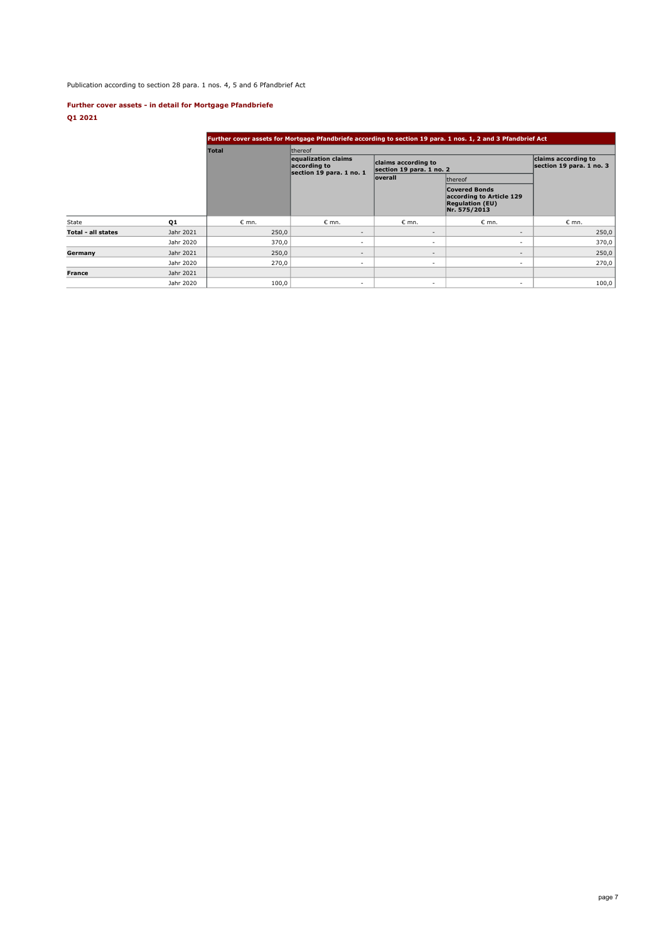Publication according to section 28 para. 1 nos. 4, 5 and 6 Pfandbrief Act

## **Further cover assets - in detail for Mortgage Pfandbriefe Q1 2021**

|                           |           |                | Further cover assets for Mortgage Pfandbriefe according to section 19 para. 1 nos. 1, 2 and 3 Pfandbrief Act       |                          |                                                                                            |                                                 |  |  |  |  |  |  |
|---------------------------|-----------|----------------|--------------------------------------------------------------------------------------------------------------------|--------------------------|--------------------------------------------------------------------------------------------|-------------------------------------------------|--|--|--|--|--|--|
|                           |           | <b>Total</b>   | <b>Ithereof</b>                                                                                                    |                          |                                                                                            |                                                 |  |  |  |  |  |  |
|                           |           |                | equalization claims<br>claims according to<br>according to<br>section 19 para. 1 no. 2<br>section 19 para. 1 no. 1 |                          |                                                                                            | claims according to<br>section 19 para. 1 no. 3 |  |  |  |  |  |  |
|                           |           |                |                                                                                                                    | <b>overall</b>           | thereof                                                                                    |                                                 |  |  |  |  |  |  |
|                           |           |                |                                                                                                                    |                          | <b>Covered Bonds</b><br>according to Article 129<br><b>Regulation (EU)</b><br>Nr. 575/2013 |                                                 |  |  |  |  |  |  |
| State                     | Q1        | $\epsilon$ mn. | $\epsilon$ mn.                                                                                                     | $\varepsilon$ mn.        | $\epsilon$ mn.                                                                             | $\epsilon$ mn.                                  |  |  |  |  |  |  |
| <b>Total - all states</b> | Jahr 2021 | 250,0          | -                                                                                                                  | $\overline{\phantom{a}}$ | $\overline{\phantom{a}}$                                                                   | 250,0                                           |  |  |  |  |  |  |
|                           | Jahr 2020 | 370,0          | ٠                                                                                                                  | $\sim$                   | ٠                                                                                          | 370,0                                           |  |  |  |  |  |  |
| Germany                   | Jahr 2021 | 250,0          | $\overline{\phantom{a}}$                                                                                           | $\overline{\phantom{a}}$ | $\overline{\phantom{a}}$                                                                   | 250,0                                           |  |  |  |  |  |  |
|                           | Jahr 2020 | 270,0          | $\overline{\phantom{a}}$                                                                                           | $\sim$                   | $\sim$                                                                                     | 270,0                                           |  |  |  |  |  |  |
| <b>France</b>             | Jahr 2021 |                |                                                                                                                    |                          |                                                                                            |                                                 |  |  |  |  |  |  |
|                           | Jahr 2020 | 100,0          | $\overline{\phantom{a}}$                                                                                           | $\sim$                   | $\sim$                                                                                     | 100,0                                           |  |  |  |  |  |  |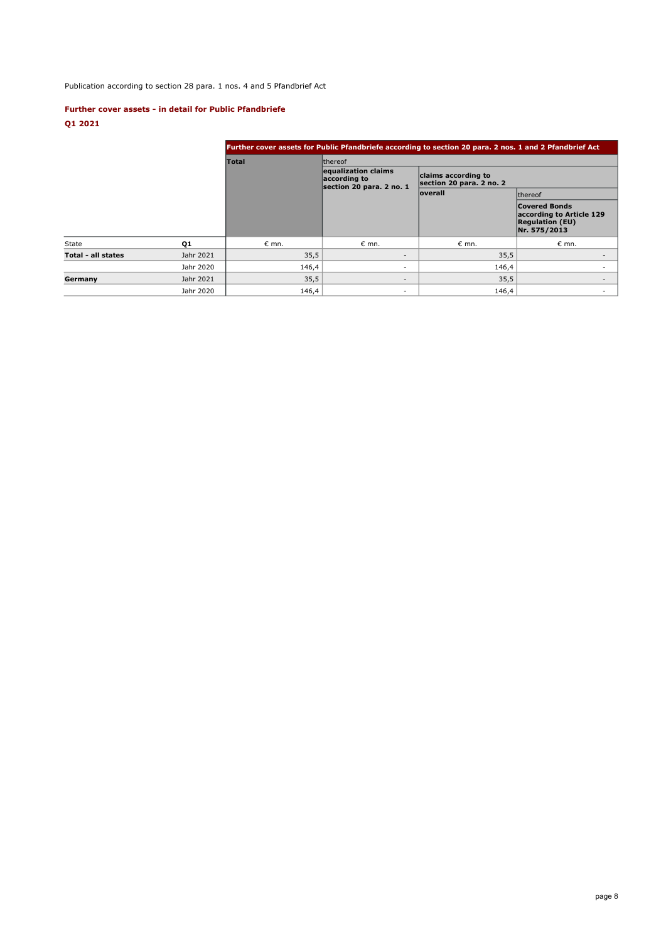# Publication according to section 28 para. 1 nos. 4 and 5 Pfandbrief Act

## **Further cover assets - in detail for Public Pfandbriefe**

# **Q1 2021**

|                    |           | Further cover assets for Public Pfandbriefe according to section 20 para. 2 nos. 1 and 2 Pfandbrief Act |                                                                 |                                                 |                                                                                            |  |  |  |  |  |
|--------------------|-----------|---------------------------------------------------------------------------------------------------------|-----------------------------------------------------------------|-------------------------------------------------|--------------------------------------------------------------------------------------------|--|--|--|--|--|
|                    |           | <b>Total</b>                                                                                            | <b>Ithereof</b>                                                 |                                                 |                                                                                            |  |  |  |  |  |
|                    |           |                                                                                                         | equalization claims<br>according to<br>section 20 para. 2 no. 1 | claims according to<br>section 20 para. 2 no. 2 |                                                                                            |  |  |  |  |  |
|                    |           |                                                                                                         |                                                                 | <b>loverall</b>                                 | <b>Ithereof</b>                                                                            |  |  |  |  |  |
|                    |           |                                                                                                         |                                                                 |                                                 | <b>Covered Bonds</b><br>according to Article 129<br><b>Regulation (EU)</b><br>Nr. 575/2013 |  |  |  |  |  |
| <b>State</b>       | Q1        | $\epsilon$ mn.                                                                                          | $\epsilon$ mn.                                                  | $\epsilon$ mn.                                  | $\epsilon$ mn.                                                                             |  |  |  |  |  |
| Total - all states | Jahr 2021 | 35,5                                                                                                    | $\sim$                                                          | 35,5                                            |                                                                                            |  |  |  |  |  |
|                    | Jahr 2020 | 146,4                                                                                                   | ÷.                                                              | 146,4                                           |                                                                                            |  |  |  |  |  |
| Germany            | Jahr 2021 | 35,5                                                                                                    | $\overline{\phantom{a}}$                                        | 35,5                                            | $\overline{\phantom{a}}$                                                                   |  |  |  |  |  |
|                    | Jahr 2020 | 146,4                                                                                                   | ۰                                                               | 146,4                                           | $\overline{\phantom{a}}$                                                                   |  |  |  |  |  |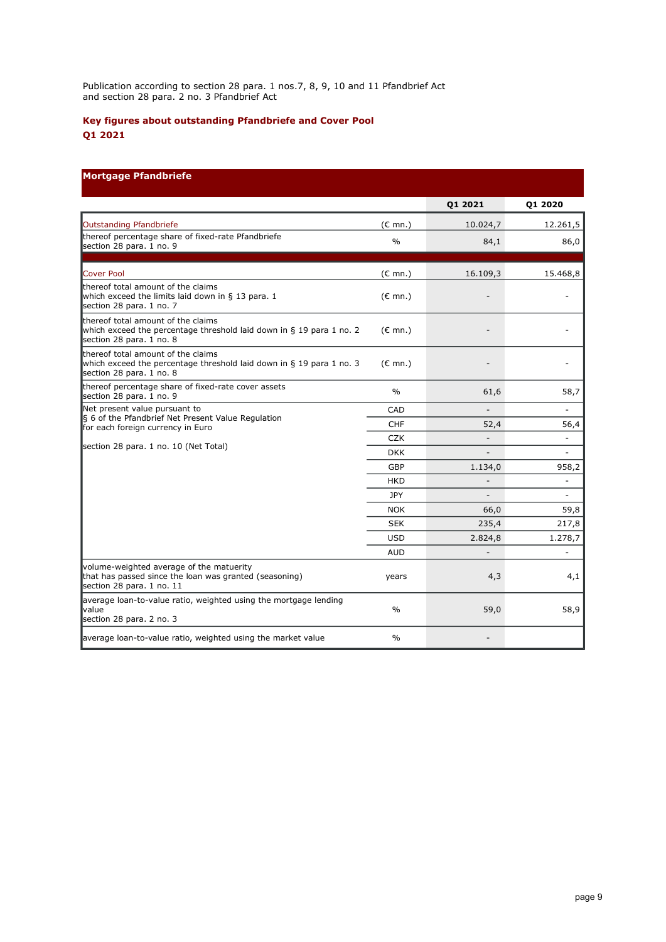Publication according to section 28 para. 1 nos.7, 8, 9, 10 and 11 Pfandbrief Act and section 28 para. 2 no. 3 Pfandbrief Act

# **Key figures about outstanding Pfandbriefe and Cover Pool Q1 2021**

# **Mortgage Pfandbriefe**

|                                                                                                                                                                   |                   | Q1 2021                  | Q1 2020                  |
|-------------------------------------------------------------------------------------------------------------------------------------------------------------------|-------------------|--------------------------|--------------------------|
| Outstanding Pfandbriefe                                                                                                                                           | $(E \text{ mn.})$ | 10.024,7                 | 12.261,5                 |
| thereof percentage share of fixed-rate Pfandbriefe<br>section 28 para. 1 no. 9                                                                                    | $\frac{0}{0}$     | 84,1                     | 86,0                     |
| Cover Pool                                                                                                                                                        | $(E \text{ mn.})$ | 16.109,3                 | 15.468,8                 |
| thereof total amount of the claims<br>which exceed the limits laid down in § 13 para. 1<br>section 28 para. 1 no. 7                                               | $(E \text{ mn.})$ |                          |                          |
| thereof total amount of the claims<br>which exceed the percentage threshold laid down in § 19 para 1 no. 2<br>section 28 para. 1 no. 8                            | $(\epsilon$ mn.)  |                          |                          |
| thereof total amount of the claims<br>which exceed the percentage threshold laid down in § 19 para 1 no. 3<br>section 28 para. 1 no. 8                            | $(E \text{ mn.})$ |                          |                          |
| thereof percentage share of fixed-rate cover assets<br>section 28 para. 1 no. 9                                                                                   | $\%$              | 61,6                     | 58,7                     |
| Net present value pursuant to<br>§ 6 of the Pfandbrief Net Present Value Regulation<br>for each foreign currency in Euro<br>section 28 para. 1 no. 10 (Net Total) | CAD               |                          |                          |
|                                                                                                                                                                   | <b>CHF</b>        | 52,4                     | 56,4                     |
|                                                                                                                                                                   | <b>CZK</b>        | $\overline{\phantom{a}}$ | $\overline{\phantom{0}}$ |
|                                                                                                                                                                   | <b>DKK</b>        |                          | $\overline{\phantom{m}}$ |
|                                                                                                                                                                   | GBP               | 1.134,0                  | 958,2                    |
|                                                                                                                                                                   | <b>HKD</b>        |                          | ÷,                       |
|                                                                                                                                                                   | JPY               |                          | ä,                       |
|                                                                                                                                                                   | <b>NOK</b>        | 66,0                     | 59,8                     |
|                                                                                                                                                                   | <b>SEK</b>        | 235,4                    | 217,8                    |
|                                                                                                                                                                   | <b>USD</b>        | 2.824,8                  | 1.278,7                  |
|                                                                                                                                                                   | <b>AUD</b>        |                          |                          |
| volume-weighted average of the matuerity<br>that has passed since the loan was granted (seasoning)<br>section 28 para. 1 no. 11                                   | years             | 4,3                      | 4,1                      |
| average loan-to-value ratio, weighted using the mortgage lending<br><b>value</b><br>section 28 para. 2 no. 3                                                      | $\frac{0}{0}$     | 59,0                     | 58,9                     |
| average loan-to-value ratio, weighted using the market value                                                                                                      | $\frac{0}{0}$     |                          |                          |